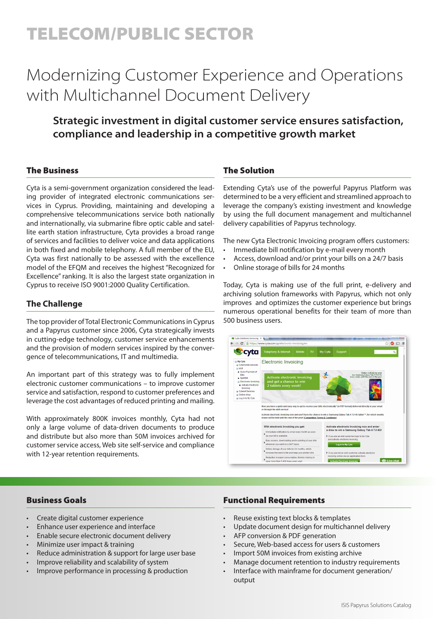# TELECOM/PUBLIC SECTOR

# Modernizing Customer Experience and Operations with Multichannel Document Delivery

# **Strategic investment in digital customer service ensures satisfaction, compliance and leadership in a competitive growth market**

# The Business

Cyta is a semi-government organization considered the leading provider of integrated electronic communications services in Cyprus. Providing, maintaining and developing a comprehensive telecommunications service both nationally and internationally, via submarine fibre optic cable and satellite earth station infrastructure, Cyta provides a broad range of services and facilities to deliver voice and data applications in both fixed and mobile telephony. A full member of the EU, Cyta was first nationally to be assessed with the excellence model of the EFQM and receives the highest "Recognized for Excellence" ranking. It is also the largest state organization in Cyprus to receive ISO 9001:2000 Quality Certification.

## **The Challenge**

The top provider of Total Electronic Communications in Cyprus and a Papyrus customer since 2006, Cyta strategically invests in cutting-edge technology, customer service enhancements and the provision of modern services inspired by the convergence of telecommunications, IT and multimedia.

An important part of this strategy was to fully implement electronic customer communications – to improve customer service and satisfaction, respond to customer preferences and leverage the cost advantages of reduced printing and mailing.

With approximately 800K invoices monthly, Cyta had not only a large volume of data-driven documents to produce and distribute but also more than 50M invoices archived for customer service access, Web site self-service and compliance with 12-year retention requirements.

# The Solution

Extending Cyta's use of the powerful Papyrus Platform was determined to be a very efficient and streamlined approach to leverage the company's existing investment and knowledge by using the full document management and multichannel delivery capabilities of Papyrus technology.

The new Cyta Electronic Invoicing program offers customers:

- Immediate bill notification by e-mail every month
- Access, download and/or print your bills on a 24/7 basis
- Online storage of bills for 24 months

Today, Cyta is making use of the full print, e-delivery and archiving solution frameworks with Papyrus, which not only improves and optimizes the customer experience but brings numerous operational benefits for their team of more than 500 business users.



#### Business Goals

- Create digital customer experience
- Enhance user experience and interface
- Enable secure electronic document delivery
- Minimize user impact & training
- Reduce administration & support for large user base
- Improve reliability and scalability of system
- Improve performance in processing & production

#### Functional Requirements

- Reuse existing text blocks & templates
- Update document design for multichannel delivery
- AFP conversion & PDF generation
- Secure, Web-based access for users & customers
- Import 50M invoices from existing archive
- Manage document retention to industry requirements
- Interface with mainframe for document generation/ output